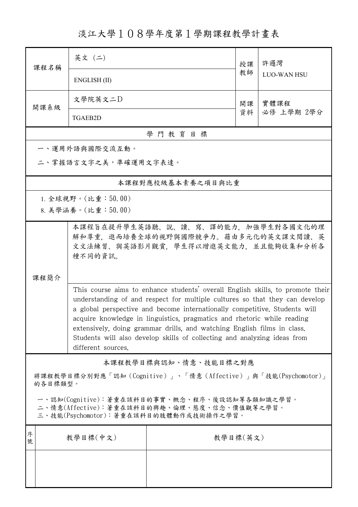淡江大學108學年度第1學期課程教學計畫表

| 課程名稱                                                                                                                                   | 英文 (二)                                                                                                                                                                                                                                                                                                                                                                                                                                                                                              |                   | 授課 | 許邏灣                |  |  |
|----------------------------------------------------------------------------------------------------------------------------------------|-----------------------------------------------------------------------------------------------------------------------------------------------------------------------------------------------------------------------------------------------------------------------------------------------------------------------------------------------------------------------------------------------------------------------------------------------------------------------------------------------------|-------------------|----|--------------------|--|--|
|                                                                                                                                        | ENGLISH (II)                                                                                                                                                                                                                                                                                                                                                                                                                                                                                        |                   |    | <b>LUO-WAN HSU</b> |  |  |
| 開課系級                                                                                                                                   | 文學院英文二D<br><b>TGAEB2D</b>                                                                                                                                                                                                                                                                                                                                                                                                                                                                           |                   |    | 實體課程<br>必修 上學期 2學分 |  |  |
|                                                                                                                                        |                                                                                                                                                                                                                                                                                                                                                                                                                                                                                                     |                   |    |                    |  |  |
| 學門教育目標                                                                                                                                 |                                                                                                                                                                                                                                                                                                                                                                                                                                                                                                     |                   |    |                    |  |  |
| 一、運用外語與國際交流互動。<br>二、掌握語言文字之美,準確運用文字表達。                                                                                                 |                                                                                                                                                                                                                                                                                                                                                                                                                                                                                                     |                   |    |                    |  |  |
|                                                                                                                                        |                                                                                                                                                                                                                                                                                                                                                                                                                                                                                                     | 本課程對應校級基本素養之項目與比重 |    |                    |  |  |
|                                                                                                                                        | 1. 全球視野。(比重:50.00)                                                                                                                                                                                                                                                                                                                                                                                                                                                                                  |                   |    |                    |  |  |
|                                                                                                                                        | 8. 美學涵養。(比重:50.00)                                                                                                                                                                                                                                                                                                                                                                                                                                                                                  |                   |    |                    |  |  |
| 课程简介                                                                                                                                   | 本課程旨在提升學生英語聽、說、讀、寫、譯的能力、加強學生對各國文化的理<br>解和尊重,進而培養全球的視野與國際競爭力。藉由多元化的英文課文閱讀、英<br>文文法練習、與英語影片觀賞, 學生得以增進英文能力, 並且能夠收集和分析各<br>種不同的資訊。                                                                                                                                                                                                                                                                                                                                                                      |                   |    |                    |  |  |
|                                                                                                                                        | This course aims to enhance students' overall English skills, to promote their<br>understanding of and respect for multiple cultures so that they can develop<br>a global perspective and become internationally competitive. Students will<br>acquire knowledge in linguistics, pragmatics and rhetoric while reading<br>extensively, doing grammar drills, and watching English films in class.<br>Students will also develop skills of collecting and analyzing ideas from<br>different sources. |                   |    |                    |  |  |
| 本課程教學目標與認知、情意、技能目標之對應                                                                                                                  |                                                                                                                                                                                                                                                                                                                                                                                                                                                                                                     |                   |    |                    |  |  |
| 將課程教學目標分別對應「認知(Cognitive)」、「情意(Affective)」與「技能(Psychomotor)」<br>的各目標類型。                                                                |                                                                                                                                                                                                                                                                                                                                                                                                                                                                                                     |                   |    |                    |  |  |
| 一、認知(Cognitive):著重在該科目的事實、概念、程序、後設認知等各類知識之學習。<br>二、情意(Affective):著重在該科目的興趣、倫理、態度、信念、價值觀等之學習。<br>三、技能(Psychomotor):著重在該科目的肢體動作或技術操作之學習。 |                                                                                                                                                                                                                                                                                                                                                                                                                                                                                                     |                   |    |                    |  |  |
| 序<br>號                                                                                                                                 | 教學目標(中文)<br>教學目標(英文)                                                                                                                                                                                                                                                                                                                                                                                                                                                                                |                   |    |                    |  |  |
|                                                                                                                                        |                                                                                                                                                                                                                                                                                                                                                                                                                                                                                                     |                   |    |                    |  |  |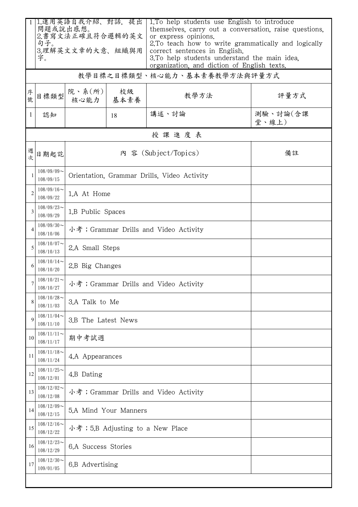|                | 問題或說出感想。                      | 1.運用英語自我介紹、對話,提出<br>2.書寫文法正確且符合邏輯的英文  |                                             | 1. To help students use English to introduce<br>or express opinions. | themselves, carry out a conversation, raise questions,                                                                                               |  |  |  |
|----------------|-------------------------------|---------------------------------------|---------------------------------------------|----------------------------------------------------------------------|------------------------------------------------------------------------------------------------------------------------------------------------------|--|--|--|
|                | 句子。<br>3.理解英文文章的大意、組織與用<br>字。 |                                       |                                             | correct sentences in English.                                        | 2. To teach how to write grammatically and logically<br>3. To help students understand the main idea.<br>organization, and diction of English texts. |  |  |  |
|                | 教學目標之目標類型、核心能力、基本素養教學方法與評量方式  |                                       |                                             |                                                                      |                                                                                                                                                      |  |  |  |
| 序號             | 目標類型                          | 院、系(所)<br>核心能力                        | 校級<br>基本素養                                  | 教學方法                                                                 | 評量方式                                                                                                                                                 |  |  |  |
| $\mathbf{1}$   | 認知                            |                                       | 18                                          | 講述、討論                                                                | 測驗、討論(含課<br>堂、線上)                                                                                                                                    |  |  |  |
|                | 授課進度表                         |                                       |                                             |                                                                      |                                                                                                                                                      |  |  |  |
| 週次             | 日期起訖                          |                                       | 內 容 (Subject/Topics)                        | 備註                                                                   |                                                                                                                                                      |  |  |  |
|                | $108/09/09$ ~<br>108/09/15    |                                       | Orientation, Grammar Drills, Video Activity |                                                                      |                                                                                                                                                      |  |  |  |
| $\overline{2}$ | $108/09/16$ ~<br>108/09/22    | 1.A At Home                           |                                             |                                                                      |                                                                                                                                                      |  |  |  |
| 3              | $108/09/23$ ~<br>108/09/29    | 1.B Public Spaces                     |                                             |                                                                      |                                                                                                                                                      |  |  |  |
| $\overline{4}$ | $108/09/30$ ~<br>108/10/06    | 小考; Grammar Drills and Video Activity |                                             |                                                                      |                                                                                                                                                      |  |  |  |
| 5              | $108/10/07$ ~<br>108/10/13    | 2.A Small Steps                       |                                             |                                                                      |                                                                                                                                                      |  |  |  |
| 6              | $108/10/14$ ~<br>108/10/20    | 2.B Big Changes                       |                                             |                                                                      |                                                                                                                                                      |  |  |  |
|                | $108/10/21$ ~<br>108/10/27    | 小考; Grammar Drills and Video Activity |                                             |                                                                      |                                                                                                                                                      |  |  |  |
|                | $108/10/28$ ~<br>108/11/03    | 3.A Talk to Me                        |                                             |                                                                      |                                                                                                                                                      |  |  |  |
| 9              | $108/11/04$ ~<br>108/11/10    | 3.B The Latest News                   |                                             |                                                                      |                                                                                                                                                      |  |  |  |
| 10             | $108/11/11$ ~<br>108/11/17    | 期中考試週                                 |                                             |                                                                      |                                                                                                                                                      |  |  |  |
| 11             | $108/11/18$ ~<br>108/11/24    | 4.A Appearances                       |                                             |                                                                      |                                                                                                                                                      |  |  |  |
| 12             | $108/11/25$ ~<br>108/12/01    | 4.B Dating                            |                                             |                                                                      |                                                                                                                                                      |  |  |  |
| 13             | $108/12/02$ ~<br>108/12/08    | 小考; Grammar Drills and Video Activity |                                             |                                                                      |                                                                                                                                                      |  |  |  |
| 14             | $108/12/09$ ~<br>108/12/15    | 5.A Mind Your Manners                 |                                             |                                                                      |                                                                                                                                                      |  |  |  |
| 15             | $108/12/16$ ~<br>108/12/22    | 小考; 5.B Adjusting to a New Place      |                                             |                                                                      |                                                                                                                                                      |  |  |  |
| 16             | $108/12/23$ ~<br>108/12/29    | 6.A Success Stories                   |                                             |                                                                      |                                                                                                                                                      |  |  |  |
| 17             | $108/12/30$ ~<br>109/01/05    | 6.B Advertising                       |                                             |                                                                      |                                                                                                                                                      |  |  |  |
|                |                               |                                       |                                             |                                                                      |                                                                                                                                                      |  |  |  |